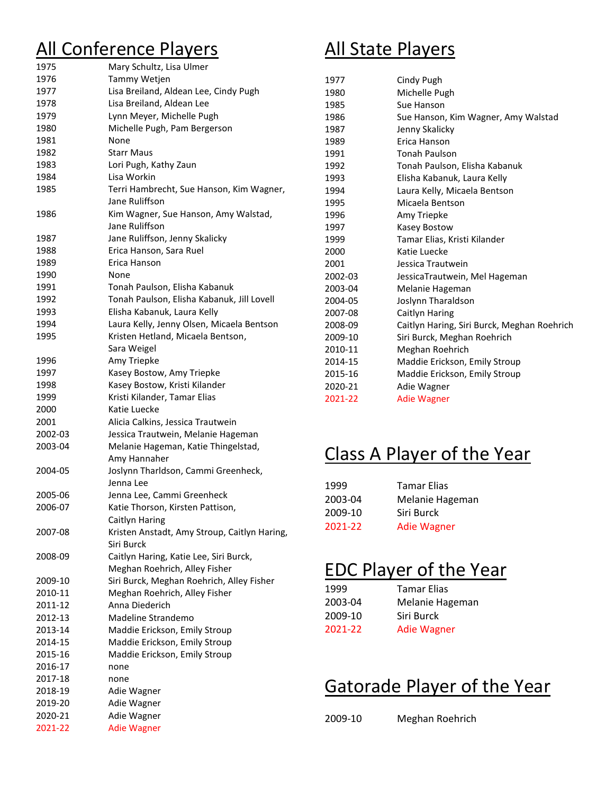# All Conference Players

| 1975    |                                              |
|---------|----------------------------------------------|
|         | Mary Schultz, Lisa Ulmer                     |
| 1976    | Tammy Wetjen                                 |
| 1977    | Lisa Breiland, Aldean Lee, Cindy Pugh        |
| 1978    | Lisa Breiland, Aldean Lee                    |
| 1979    | Lynn Meyer, Michelle Pugh                    |
| 1980    | Michelle Pugh, Pam Bergerson                 |
| 1981    | None                                         |
| 1982    | Starr Maus                                   |
| 1983    | Lori Pugh, Kathy Zaun                        |
| 1984    | Lisa Workin                                  |
| 1985    | Terri Hambrecht, Sue Hanson, Kim Wagner,     |
|         | Jane Ruliffson                               |
| 1986    | Kim Wagner, Sue Hanson, Amy Walstad,         |
|         | Jane Ruliffson                               |
| 1987    | Jane Ruliffson, Jenny Skalicky               |
| 1988    | Erica Hanson, Sara Ruel                      |
| 1989    | Erica Hanson                                 |
| 1990    | None                                         |
| 1991    | Tonah Paulson, Elisha Kabanuk                |
| 1992    | Tonah Paulson, Elisha Kabanuk, Jill Lovell   |
| 1993    | Elisha Kabanuk, Laura Kelly                  |
| 1994    | Laura Kelly, Jenny Olsen, Micaela Bentson    |
| 1995    | Kristen Hetland, Micaela Bentson,            |
|         | Sara Weigel                                  |
| 1996    | Amy Triepke                                  |
| 1997    | Kasey Bostow, Amy Triepke                    |
| 1998    | Kasey Bostow, Kristi Kilander                |
| 1999    | Kristi Kilander, Tamar Elias                 |
| 2000    | Katie Luecke                                 |
| 2001    | Alicia Calkins, Jessica Trautwein            |
| 2002-03 | Jessica Trautwein, Melanie Hageman           |
| 2003-04 | Melanie Hageman, Katie Thingelstad,          |
|         | Amy Hannaher                                 |
| 2004-05 | Joslynn Tharldson, Cammi Greenheck,          |
|         | Jenna Lee                                    |
| 2005-06 | Jenna Lee, Cammi Greenheck                   |
| 2006-07 | Katie Thorson, Kirsten Pattison,             |
|         | Caitlyn Haring                               |
| 2007-08 | Kristen Anstadt, Amy Stroup, Caitlyn Haring, |
|         | Siri Burck                                   |
| 2008-09 | Caitlyn Haring, Katie Lee, Siri Burck,       |
|         | Meghan Roehrich, Alley Fisher                |
| 2009-10 | Siri Burck, Meghan Roehrich, Alley Fisher    |
| 2010-11 | Meghan Roehrich, Alley Fisher                |
| 2011-12 | Anna Diederich                               |
| 2012-13 | Madeline Strandemo                           |
|         |                                              |
| 2013-14 | Maddie Erickson, Emily Stroup                |
| 2014-15 | Maddie Erickson, Emily Stroup                |
| 2015-16 | Maddie Erickson, Emily Stroup                |
| 2016-17 | none                                         |
| 2017-18 | none                                         |
| 2018-19 | Adie Wagner                                  |
| 2019-20 | Adie Wagner                                  |
| 2020-21 | Adie Wagner                                  |
| 2021-22 | <b>Adie Wagner</b>                           |

### All State Players

| 1977    | Cindy Pugh                                  |
|---------|---------------------------------------------|
| 1980    | Michelle Pugh                               |
| 1985    | Sue Hanson                                  |
| 1986    | Sue Hanson, Kim Wagner, Amy Walstad         |
| 1987    | Jenny Skalicky                              |
| 1989    | Erica Hanson                                |
| 1991    | <b>Tonah Paulson</b>                        |
| 1992    | Tonah Paulson, Elisha Kabanuk               |
| 1993    | Elisha Kabanuk, Laura Kelly                 |
| 1994    | Laura Kelly, Micaela Bentson                |
| 1995    | Micaela Bentson                             |
| 1996    | Amy Triepke                                 |
| 1997    | Kasey Bostow                                |
| 1999    | Tamar Elias, Kristi Kilander                |
| 2000    | Katie Luecke                                |
| 2001    | Jessica Trautwein                           |
| 2002-03 | JessicaTrautwein, Mel Hageman               |
| 2003-04 | Melanie Hageman                             |
| 2004-05 | Joslynn Tharaldson                          |
| 2007-08 | Caitlyn Haring                              |
| 2008-09 | Caitlyn Haring, Siri Burck, Meghan Roehrich |
| 2009-10 | Siri Burck, Meghan Roehrich                 |
| 2010-11 | Meghan Roehrich                             |
| 2014-15 | Maddie Erickson, Emily Stroup               |
| 2015-16 | Maddie Erickson, Emily Stroup               |
| 2020-21 | Adie Wagner                                 |
| 2021-22 | <b>Adie Wagner</b>                          |
|         |                                             |

#### Class A Player of the Year

| 1999    | <b>Tamar Elias</b> |
|---------|--------------------|
| 2003-04 | Melanie Hageman    |
| 2009-10 | Siri Burck         |
| 2021-22 | <b>Adie Wagner</b> |

### EDC Player of the Year

| 1999    | <b>Tamar Elias</b> |
|---------|--------------------|
| 2003-04 | Melanie Hageman    |
| 2009-10 | Siri Burck         |
| 2021-22 | <b>Adie Wagner</b> |
|         |                    |

#### Gatorade Player of the Year

2009-10 Meghan Roehrich